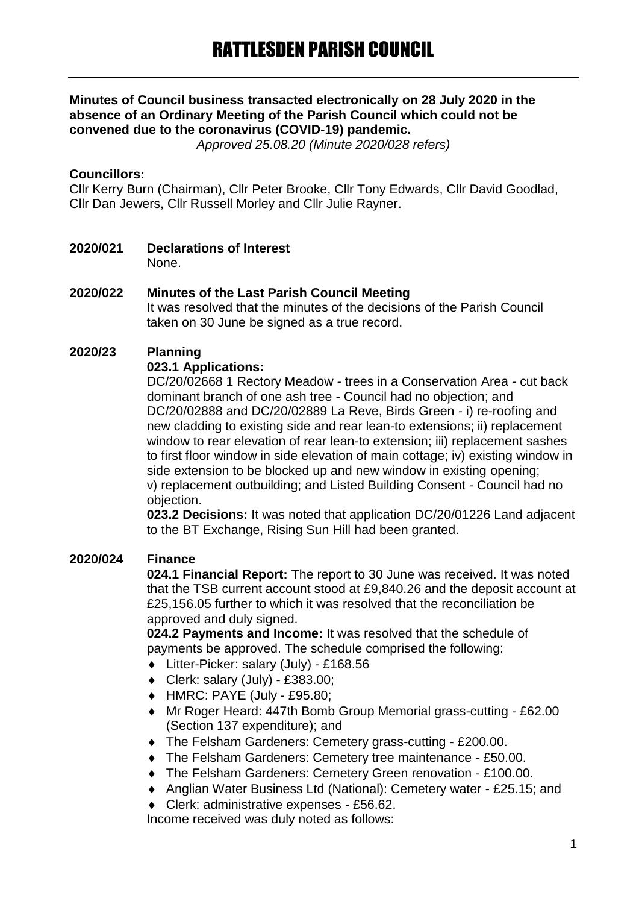## **Minutes of Council business transacted electronically on 28 July 2020 in the absence of an Ordinary Meeting of the Parish Council which could not be convened due to the coronavirus (COVID-19) pandemic.**

*Approved 25.08.20 (Minute 2020/028 refers)*

#### **Councillors:**

Cllr Kerry Burn (Chairman), Cllr Peter Brooke, Cllr Tony Edwards, Cllr David Goodlad, Cllr Dan Jewers, Cllr Russell Morley and Cllr Julie Rayner.

**2020/021 Declarations of Interest** None.

## **2020/022 Minutes of the Last Parish Council Meeting**

It was resolved that the minutes of the decisions of the Parish Council taken on 30 June be signed as a true record.

## **2020/23 Planning**

#### **023.1 Applications:**

DC/20/02668 1 Rectory Meadow - trees in a Conservation Area - cut back dominant branch of one ash tree - Council had no objection; and DC/20/02888 and DC/20/02889 La Reve, Birds Green - i) re-roofing and new cladding to existing side and rear lean-to extensions; ii) replacement window to rear elevation of rear lean-to extension: iii) replacement sashes to first floor window in side elevation of main cottage; iv) existing window in side extension to be blocked up and new window in existing opening; v) replacement outbuilding; and Listed Building Consent - Council had no objection.

**023.2 Decisions:** It was noted that application DC/20/01226 Land adjacent to the BT Exchange, Rising Sun Hill had been granted.

## **2020/024 Finance**

**024.1 Financial Report:** The report to 30 June was received. It was noted that the TSB current account stood at £9,840.26 and the deposit account at £25,156.05 further to which it was resolved that the reconciliation be approved and duly signed.

**024.2 Payments and Income:** It was resolved that the schedule of payments be approved. The schedule comprised the following:

- Litter-Picker: salary (July) £168.56
- $\bullet$  Clerk: salary (July) £383.00;
- HMRC: PAYE (July £95.80;
- Mr Roger Heard: 447th Bomb Group Memorial grass-cutting £62.00 (Section 137 expenditure); and
- The Felsham Gardeners: Cemetery grass-cutting £200.00.
- The Felsham Gardeners: Cemetery tree maintenance £50.00.
- The Felsham Gardeners: Cemetery Green renovation £100.00.
- Anglian Water Business Ltd (National): Cemetery water £25.15; and
- Clerk: administrative expenses £56.62.

Income received was duly noted as follows: